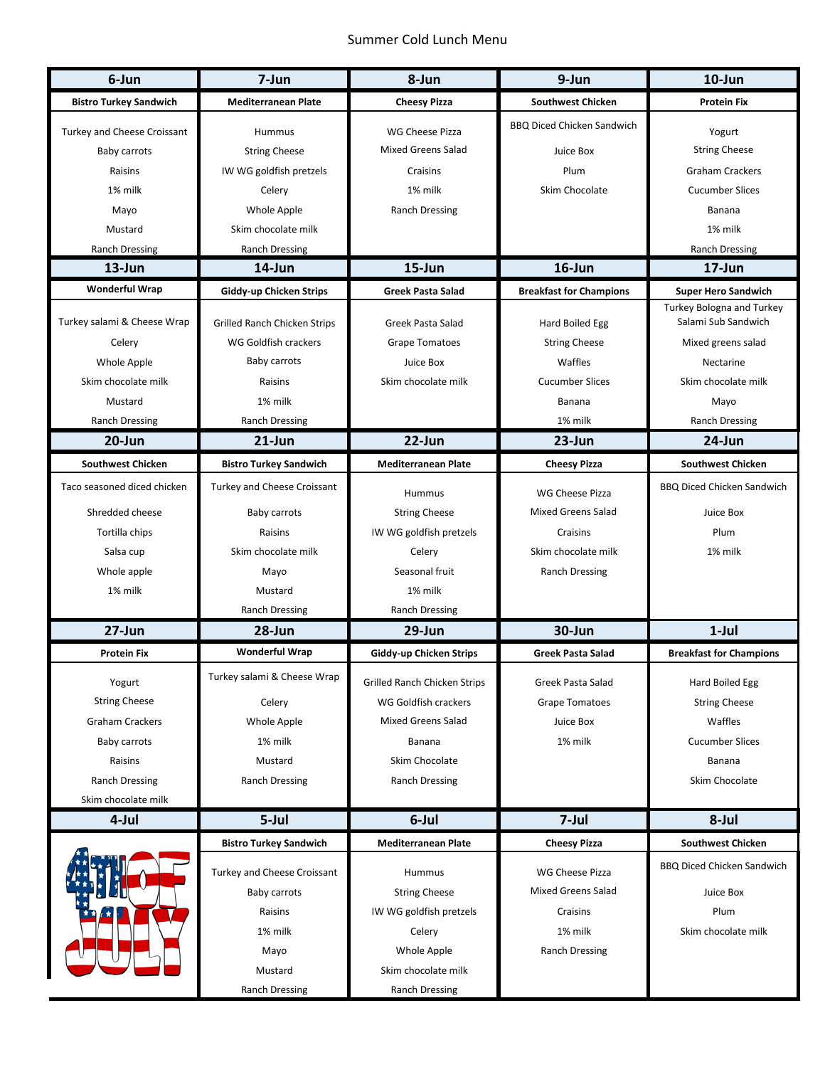## Summer Cold Lunch Menu

| 6-Jun                         | 7-Jun                               | 8-Jun                        | 9-Jun                             | $10$ -Jun                         |
|-------------------------------|-------------------------------------|------------------------------|-----------------------------------|-----------------------------------|
| <b>Bistro Turkey Sandwich</b> | <b>Mediterranean Plate</b>          | <b>Cheesy Pizza</b>          | <b>Southwest Chicken</b>          | <b>Protein Fix</b>                |
| Turkey and Cheese Croissant   | <b>Hummus</b>                       | WG Cheese Pizza              | <b>BBQ Diced Chicken Sandwich</b> | Yogurt                            |
| <b>Baby carrots</b>           | <b>String Cheese</b>                | Mixed Greens Salad           | Juice Box                         | <b>String Cheese</b>              |
| Raisins                       | IW WG goldfish pretzels             | Craisins                     | Plum                              | <b>Graham Crackers</b>            |
| 1% milk                       | Celery                              | 1% milk                      | Skim Chocolate                    | <b>Cucumber Slices</b>            |
| Mayo                          | Whole Apple                         | <b>Ranch Dressing</b>        |                                   | Banana                            |
| Mustard                       | Skim chocolate milk                 |                              |                                   | 1% milk                           |
| <b>Ranch Dressing</b>         | Ranch Dressing                      |                              |                                   | <b>Ranch Dressing</b>             |
| $13$ -Jun                     | 14-Jun                              | 15-Jun                       | 16-Jun                            | $17 - Jun$                        |
| <b>Wonderful Wrap</b>         | Giddy-up Chicken Strips             | <b>Greek Pasta Salad</b>     | <b>Breakfast for Champions</b>    | <b>Super Hero Sandwich</b>        |
|                               |                                     |                              |                                   | <b>Turkey Bologna and Turkey</b>  |
| Turkey salami & Cheese Wrap   | <b>Grilled Ranch Chicken Strips</b> | Greek Pasta Salad            | Hard Boiled Egg                   | Salami Sub Sandwich               |
| Celery                        | WG Goldfish crackers                | <b>Grape Tomatoes</b>        | <b>String Cheese</b>              | Mixed greens salad                |
| Whole Apple                   | Baby carrots                        | Juice Box                    | Waffles                           | Nectarine                         |
| Skim chocolate milk           | Raisins                             | Skim chocolate milk          | <b>Cucumber Slices</b>            | Skim chocolate milk               |
| Mustard                       | 1% milk                             |                              | Banana                            | Mayo                              |
| Ranch Dressing                | <b>Ranch Dressing</b>               |                              | 1% milk                           | <b>Ranch Dressing</b>             |
| 20-Jun                        | $21$ -Jun                           | $22$ -Jun                    | 23-Jun                            | 24-Jun                            |
| <b>Southwest Chicken</b>      | <b>Bistro Turkey Sandwich</b>       | <b>Mediterranean Plate</b>   | <b>Cheesy Pizza</b>               | <b>Southwest Chicken</b>          |
| Taco seasoned diced chicken   | Turkey and Cheese Croissant         | Hummus                       | WG Cheese Pizza                   | <b>BBQ Diced Chicken Sandwich</b> |
| Shredded cheese               | Baby carrots                        | <b>String Cheese</b>         | <b>Mixed Greens Salad</b>         | Juice Box                         |
| Tortilla chips                | Raisins                             | IW WG goldfish pretzels      | Craisins                          | Plum                              |
| Salsa cup                     | Skim chocolate milk                 | Celery                       | Skim chocolate milk               | 1% milk                           |
| Whole apple                   | Mayo                                | Seasonal fruit               | <b>Ranch Dressing</b>             |                                   |
| 1% milk                       | Mustard                             | 1% milk                      |                                   |                                   |
|                               | <b>Ranch Dressing</b>               | <b>Ranch Dressing</b>        |                                   |                                   |
| 27-Jun                        | 28-Jun                              | 29-Jun                       | 30-Jun                            | $1$ -Jul                          |
| <b>Protein Fix</b>            | <b>Wonderful Wrap</b>               | Giddy-up Chicken Strips      | <b>Greek Pasta Salad</b>          | <b>Breakfast for Champions</b>    |
|                               | Turkey salami & Cheese Wrap         |                              |                                   |                                   |
| Yogurt                        |                                     | Grilled Ranch Chicken Strips | Greek Pasta Salad                 | Hard Boiled Egg                   |
| <b>String Cheese</b>          | Celery                              | WG Goldfish crackers         | <b>Grape Tomatoes</b>             | <b>String Cheese</b>              |
| <b>Graham Crackers</b>        | Whole Apple                         | <b>Mixed Greens Salad</b>    | Juice Box                         | Waffles                           |
| Baby carrots                  | 1% milk                             | Banana                       | 1% milk                           | <b>Cucumber Slices</b>            |
| Raisins                       | Mustard                             | Skim Chocolate               |                                   | Banana                            |
| <b>Ranch Dressing</b>         | <b>Ranch Dressing</b>               | <b>Ranch Dressing</b>        |                                   | Skim Chocolate                    |
| Skim chocolate milk           |                                     |                              |                                   |                                   |
| 4-Jul                         | 5-Jul                               | 6-Jul                        | 7-Jul                             | 8-Jul                             |
|                               | <b>Bistro Turkey Sandwich</b>       | <b>Mediterranean Plate</b>   | <b>Cheesy Pizza</b>               | <b>Southwest Chicken</b>          |
|                               | Turkey and Cheese Croissant         | Hummus                       | WG Cheese Pizza                   | <b>BBQ Diced Chicken Sandwich</b> |
|                               | Baby carrots                        | <b>String Cheese</b>         | <b>Mixed Greens Salad</b>         | Juice Box                         |
|                               | Raisins                             | IW WG goldfish pretzels      | Craisins                          | Plum                              |
|                               | 1% milk                             | Celery                       | 1% milk                           | Skim chocolate milk               |
|                               | Mayo                                | Whole Apple                  | <b>Ranch Dressing</b>             |                                   |
|                               | Mustard                             | Skim chocolate milk          |                                   |                                   |
|                               |                                     |                              |                                   |                                   |
|                               | <b>Ranch Dressing</b>               | <b>Ranch Dressing</b>        |                                   |                                   |